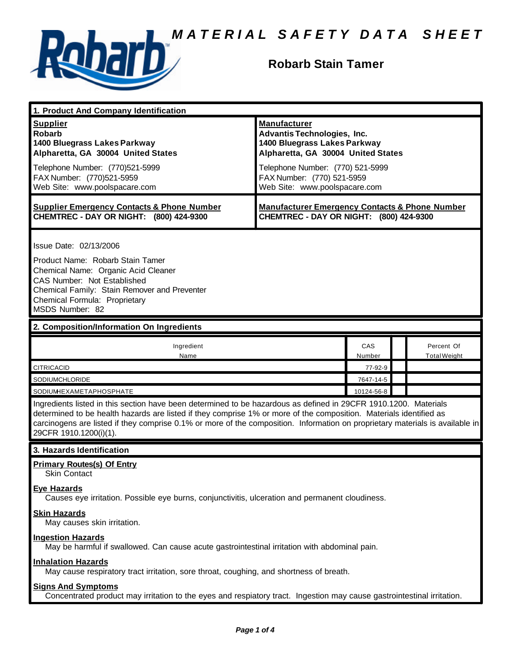

#### **Robarb Stain Tamer**

| 1. Product And Company Identification                                                                                                                                                                                                                                                                                                                                                             |                                                                                                                                                                                                   |               |  |                                   |  |
|---------------------------------------------------------------------------------------------------------------------------------------------------------------------------------------------------------------------------------------------------------------------------------------------------------------------------------------------------------------------------------------------------|---------------------------------------------------------------------------------------------------------------------------------------------------------------------------------------------------|---------------|--|-----------------------------------|--|
| <b>Supplier</b><br><b>Robarb</b><br>1400 Bluegrass Lakes Parkway<br>Alpharetta, GA 30004 United States<br>Telephone Number: (770)521-5999<br>FAX Number: (770)521-5959                                                                                                                                                                                                                            | <b>Manufacturer</b><br><b>Advantis Technologies, Inc.</b><br>1400 Bluegrass Lakes Parkway<br>Alpharetta, GA 30004 United States<br>Telephone Number: (770) 521-5999<br>FAX Number: (770) 521-5959 |               |  |                                   |  |
| Web Site: www.poolspacare.com                                                                                                                                                                                                                                                                                                                                                                     | Web Site: www.poolspacare.com                                                                                                                                                                     |               |  |                                   |  |
| <b>Supplier Emergency Contacts &amp; Phone Number</b><br>CHEMTREC - DAY OR NIGHT: (800) 424-9300                                                                                                                                                                                                                                                                                                  | <b>Manufacturer Emergency Contacts &amp; Phone Number</b><br>CHEMTREC - DAY OR NIGHT: (800) 424-9300                                                                                              |               |  |                                   |  |
| Issue Date: 02/13/2006<br>Product Name: Robarb Stain Tamer<br>Chemical Name: Organic Acid Cleaner<br>CAS Number: Not Established<br>Chemical Family: Stain Remover and Preventer<br>Chemical Formula: Proprietary<br>MSDS Number: 82                                                                                                                                                              |                                                                                                                                                                                                   |               |  |                                   |  |
| 2. Composition/Information On Ingredients                                                                                                                                                                                                                                                                                                                                                         |                                                                                                                                                                                                   |               |  |                                   |  |
| Ingredient<br>Name                                                                                                                                                                                                                                                                                                                                                                                |                                                                                                                                                                                                   | CAS<br>Number |  | Percent Of<br><b>Total Weight</b> |  |
| <b>CITRICACID</b><br>77-92-9                                                                                                                                                                                                                                                                                                                                                                      |                                                                                                                                                                                                   |               |  |                                   |  |
| SODIUMCHLORIDE                                                                                                                                                                                                                                                                                                                                                                                    |                                                                                                                                                                                                   | 7647-14-5     |  |                                   |  |
| SODIUMHEXAMETAPHOSPHATE                                                                                                                                                                                                                                                                                                                                                                           |                                                                                                                                                                                                   | 10124-56-8    |  |                                   |  |
| Ingredients listed in this section have been determined to be hazardous as defined in 29CFR 1910.1200. Materials<br>determined to be health hazards are listed if they comprise 1% or more of the composition. Materials identified as<br>carcinogens are listed if they comprise 0.1% or more of the composition. Information on proprietary materials is available in<br>29CFR 1910.1200(i)(1). |                                                                                                                                                                                                   |               |  |                                   |  |
| 3. Hazards Identification                                                                                                                                                                                                                                                                                                                                                                         |                                                                                                                                                                                                   |               |  |                                   |  |
| <b>Primary Routes(s) Of Entry</b><br><b>Skin Contact</b>                                                                                                                                                                                                                                                                                                                                          |                                                                                                                                                                                                   |               |  |                                   |  |
| <b>Eye Hazards</b><br>Causes eye irritation. Possible eye burns, conjunctivitis, ulceration and permanent cloudiness.                                                                                                                                                                                                                                                                             |                                                                                                                                                                                                   |               |  |                                   |  |
| <b>Skin Hazards</b><br>May causes skin irritation.                                                                                                                                                                                                                                                                                                                                                |                                                                                                                                                                                                   |               |  |                                   |  |
| <b>Ingestion Hazards</b><br>May be harmful if swallowed. Can cause acute gastrointestinal irritation with abdominal pain.                                                                                                                                                                                                                                                                         |                                                                                                                                                                                                   |               |  |                                   |  |
| <b>Inhalation Hazards</b>                                                                                                                                                                                                                                                                                                                                                                         | May cause respiratory tract irritation, sore throat, coughing, and shortness of breath.                                                                                                           |               |  |                                   |  |
| <b>Signs And Symptoms</b>                                                                                                                                                                                                                                                                                                                                                                         |                                                                                                                                                                                                   |               |  |                                   |  |

Concentrated product may irritation to the eyes and respiatory tract. Ingestion may cause gastrointestinal irritation.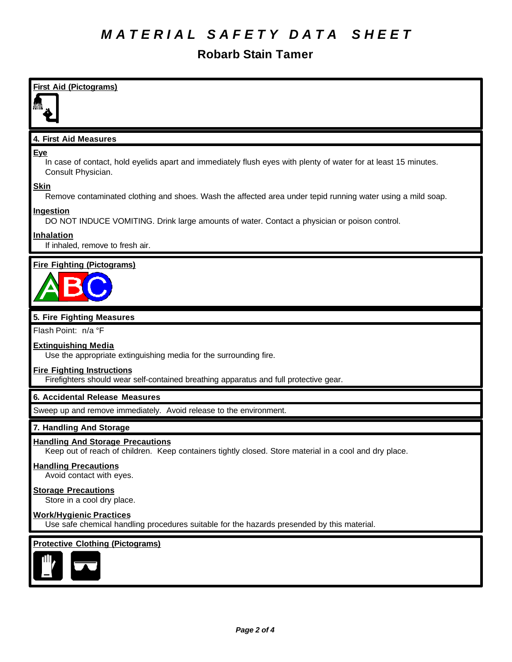#### **Robarb Stain Tamer**

| <b>First Aid (Pictograms)</b>                                                                                                                       |
|-----------------------------------------------------------------------------------------------------------------------------------------------------|
| 4. First Aid Measures                                                                                                                               |
| <b>Eye</b><br>In case of contact, hold eyelids apart and immediately flush eyes with plenty of water for at least 15 minutes.<br>Consult Physician. |
| <b>Skin</b><br>Remove contaminated clothing and shoes. Wash the affected area under tepid running water using a mild soap.                          |
| Ingestion<br>DO NOT INDUCE VOMITING. Drink large amounts of water. Contact a physician or poison control.                                           |
| <b>Inhalation</b><br>If inhaled, remove to fresh air.                                                                                               |
| <b>Fire Fighting (Pictograms)</b>                                                                                                                   |
|                                                                                                                                                     |
| 5. Fire Fighting Measures                                                                                                                           |
| Flash Point: n/a °F                                                                                                                                 |
| <b>Extinguishing Media</b><br>Use the appropriate extinguishing media for the surrounding fire.                                                     |
| <b>Fire Fighting Instructions</b><br>Firefighters should wear self-contained breathing apparatus and full protective gear.                          |
| <b>6. Accidental Release Measures</b>                                                                                                               |
| Sweep up and remove immediately. Avoid release to the environment.                                                                                  |
| 7. Handling And Storage                                                                                                                             |
| <b>Handling And Storage Precautions</b><br>Keep out of reach of children. Keep containers tightly closed. Store material in a cool and dry place.   |
| <b>Handling Precautions</b><br>Avoid contact with eyes.                                                                                             |
| <b>Storage Precautions</b><br>Store in a cool dry place.                                                                                            |
| <b>Work/Hygienic Practices</b><br>Use safe chemical handling procedures suitable for the hazards presended by this material.                        |
| <b>Protective Clothing (Pictograms)</b>                                                                                                             |
|                                                                                                                                                     |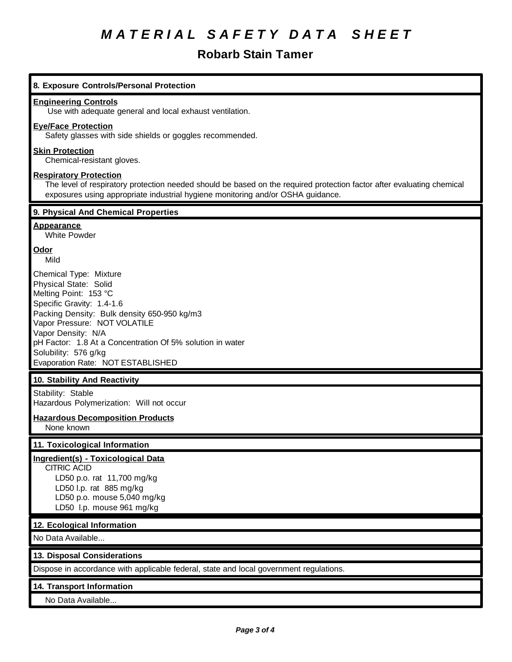### **Robarb Stain Tamer**

| 8. Exposure Controls/Personal Protection                                                                                                                                                                                                                                                                                             |
|--------------------------------------------------------------------------------------------------------------------------------------------------------------------------------------------------------------------------------------------------------------------------------------------------------------------------------------|
| <b>Engineering Controls</b><br>Use with adequate general and local exhaust ventilation.                                                                                                                                                                                                                                              |
| <b>Eye/Face Protection</b><br>Safety glasses with side shields or goggles recommended.                                                                                                                                                                                                                                               |
| <b>Skin Protection</b><br>Chemical-resistant gloves.                                                                                                                                                                                                                                                                                 |
| <b>Respiratory Protection</b><br>The level of respiratory protection needed should be based on the required protection factor after evaluating chemical<br>exposures using appropriate industrial hygiene monitoring and/or OSHA guidance.                                                                                           |
| 9. Physical And Chemical Properties                                                                                                                                                                                                                                                                                                  |
| <b>Appearance</b><br><b>White Powder</b>                                                                                                                                                                                                                                                                                             |
| Odor<br>Mild                                                                                                                                                                                                                                                                                                                         |
| Chemical Type: Mixture<br>Physical State: Solid<br>Melting Point: 153 °C<br>Specific Gravity: 1.4-1.6<br>Packing Density: Bulk density 650-950 kg/m3<br>Vapor Pressure: NOT VOLATILE<br>Vapor Density: N/A<br>pH Factor: 1.8 At a Concentration Of 5% solution in water<br>Solubility: 576 g/kg<br>Evaporation Rate: NOT ESTABLISHED |
| 10. Stability And Reactivity                                                                                                                                                                                                                                                                                                         |
| Stability: Stable<br>Hazardous Polymerization: Will not occur                                                                                                                                                                                                                                                                        |
| <b>Hazardous Decomposition Products</b><br>None known                                                                                                                                                                                                                                                                                |
| 11. Toxicological Information                                                                                                                                                                                                                                                                                                        |
| Ingredient(s) - Toxicological Data<br><b>CITRIC ACID</b><br>LD50 p.o. rat 11,700 mg/kg<br>LD50 I.p. rat 885 mg/kg<br>LD50 p.o. mouse 5,040 mg/kg<br>LD50 I.p. mouse 961 mg/kg                                                                                                                                                        |
| 12. Ecological Information                                                                                                                                                                                                                                                                                                           |
| No Data Available                                                                                                                                                                                                                                                                                                                    |
| 13. Disposal Considerations                                                                                                                                                                                                                                                                                                          |
| Dispose in accordance with applicable federal, state and local government regulations.                                                                                                                                                                                                                                               |
| 14. Transport Information<br>No Data Available                                                                                                                                                                                                                                                                                       |